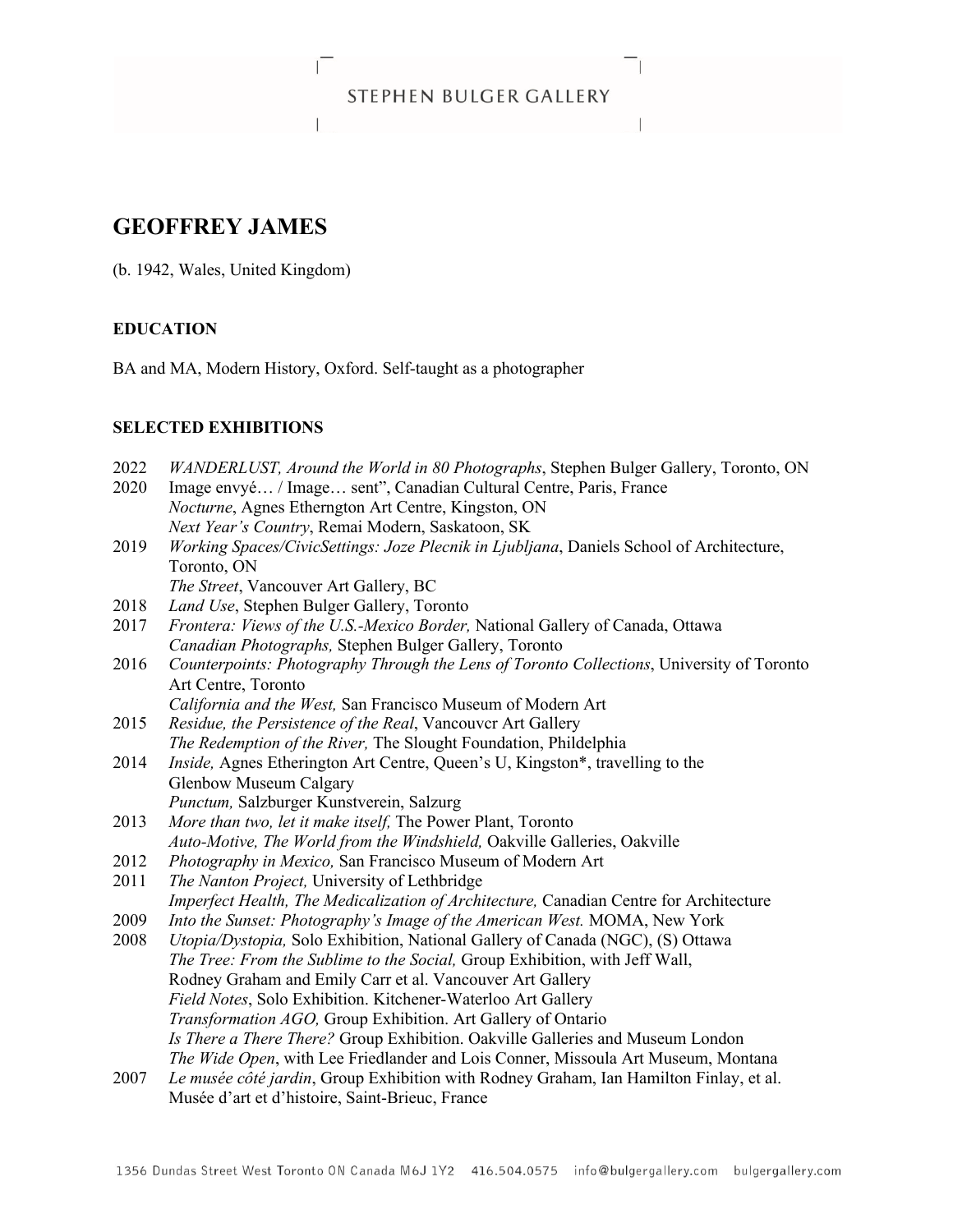## STEPHEN BULGER GALLERY the contract of the contract of the contract of

# **GEOFFREY JAMES**

(b. 1942, Wales, United Kingdom)

## **EDUCATION**

BA and MA, Modern History, Oxford. Self-taught as a photographer

## **SELECTED EXHIBITIONS**

| 2022 | WANDERLUST, Around the World in 80 Photographs, Stephen Bulger Gallery, Toronto, ON       |
|------|-------------------------------------------------------------------------------------------|
| 2020 | Image envyé / Image sent", Canadian Cultural Centre, Paris, France                        |
|      | Nocturne, Agnes Etherngton Art Centre, Kingston, ON                                       |
|      | Next Year's Country, Remai Modern, Saskatoon, SK                                          |
| 2019 | Working Spaces/CivicSettings: Joze Plecnik in Ljubljana, Daniels School of Architecture,  |
|      | Toronto, ON                                                                               |
|      | The Street, Vancouver Art Gallery, BC                                                     |
| 2018 | Land Use, Stephen Bulger Gallery, Toronto                                                 |
| 2017 | Frontera: Views of the U.S.-Mexico Border, National Gallery of Canada, Ottawa             |
|      | Canadian Photographs, Stephen Bulger Gallery, Toronto                                     |
| 2016 | Counterpoints: Photography Through the Lens of Toronto Collections, University of Toronto |
|      | Art Centre, Toronto                                                                       |
|      | California and the West, San Francisco Museum of Modern Art                               |
| 2015 | Residue, the Persistence of the Real, Vancouver Art Gallery                               |
|      | The Redemption of the River, The Slought Foundation, Phildelphia                          |
| 2014 | Inside, Agnes Etherington Art Centre, Queen's U, Kingston*, travelling to the             |
|      | Glenbow Museum Calgary                                                                    |
|      | Punctum, Salzburger Kunstverein, Salzurg                                                  |
| 2013 | More than two, let it make itself, The Power Plant, Toronto                               |
|      | Auto-Motive, The World from the Windshield, Oakville Galleries, Oakville                  |
| 2012 | Photography in Mexico, San Francisco Museum of Modern Art                                 |
| 2011 | The Nanton Project, University of Lethbridge                                              |
|      | Imperfect Health, The Medicalization of Architecture, Canadian Centre for Architecture    |
| 2009 | Into the Sunset: Photography's Image of the American West. MOMA, New York                 |
| 2008 | Utopia/Dystopia, Solo Exhibition, National Gallery of Canada (NGC), (S) Ottawa            |
|      | The Tree: From the Sublime to the Social, Group Exhibition, with Jeff Wall,               |
|      | Rodney Graham and Emily Carr et al. Vancouver Art Gallery                                 |
|      | Field Notes, Solo Exhibition. Kitchener-Waterloo Art Gallery                              |
|      | Transformation AGO, Group Exhibition. Art Gallery of Ontario                              |
|      | Is There a There There? Group Exhibition. Oakville Galleries and Museum London            |
|      | The Wide Open, with Lee Friedlander and Lois Conner, Missoula Art Museum, Montana         |
| 2007 | Le musée côté jardin, Group Exhibition with Rodney Graham, Ian Hamilton Finlay, et al.    |
|      | Musée d'art et d'histoire, Saint-Brieuc, France                                           |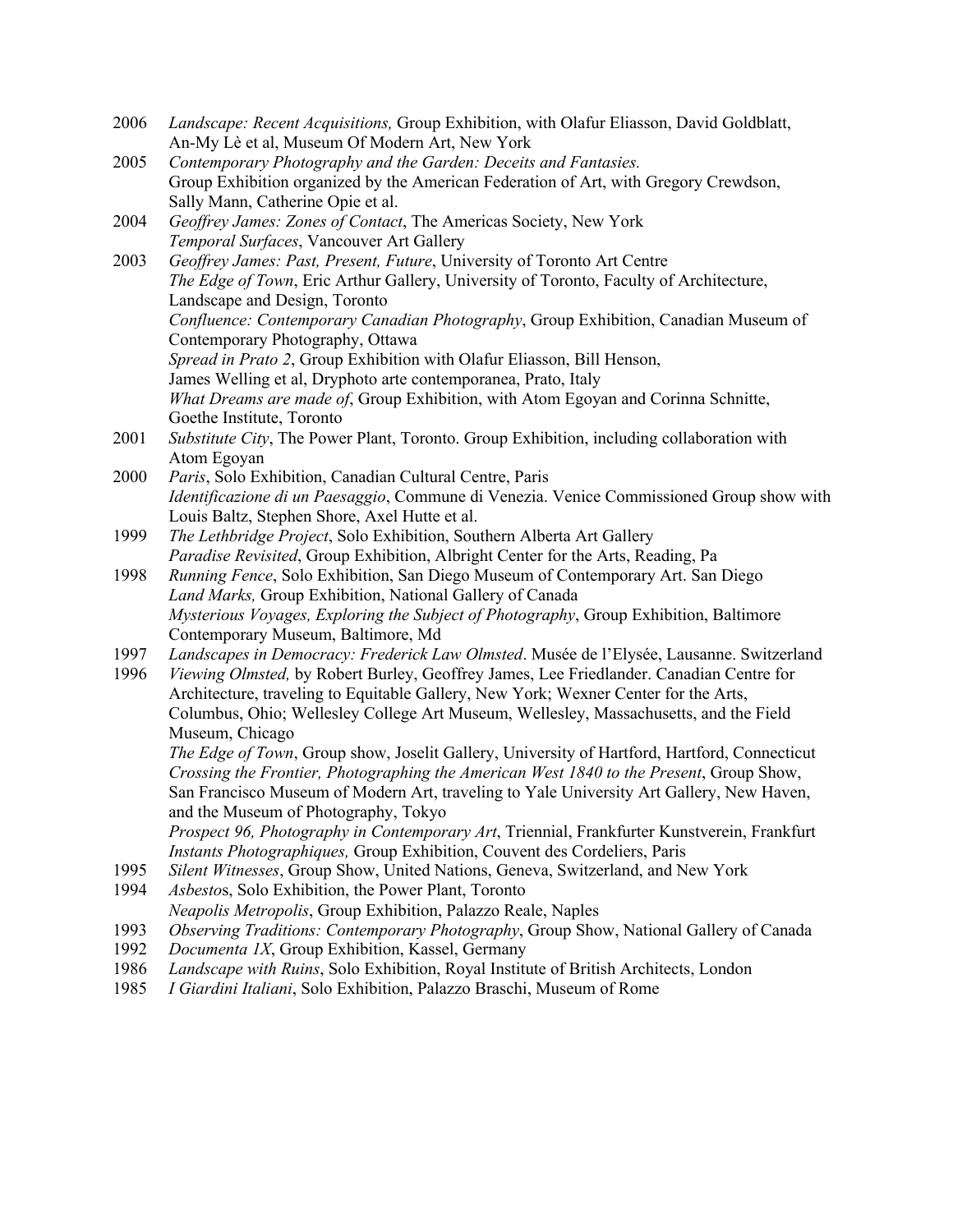- 2006 *Landscape: Recent Acquisitions,* Group Exhibition, with Olafur Eliasson, David Goldblatt, An-My Lè et al, Museum Of Modern Art, New York
- 2005 *Contemporary Photography and the Garden: Deceits and Fantasies.*  Group Exhibition organized by the American Federation of Art, with Gregory Crewdson, Sally Mann, Catherine Opie et al.
- 2004 *Geoffrey James: Zones of Contact*, The Americas Society, New York *Temporal Surfaces*, Vancouver Art Gallery
- 2003 *Geoffrey James: Past, Present, Future*, University of Toronto Art Centre *The Edge of Town*, Eric Arthur Gallery, University of Toronto, Faculty of Architecture, Landscape and Design, Toronto *Confluence: Contemporary Canadian Photography*, Group Exhibition, Canadian Museum of Contemporary Photography, Ottawa *Spread in Prato 2*, Group Exhibition with Olafur Eliasson, Bill Henson, James Welling et al, Dryphoto arte contemporanea, Prato, Italy *What Dreams are made of*, Group Exhibition, with Atom Egoyan and Corinna Schnitte, Goethe Institute, Toronto
- 2001 *Substitute City*, The Power Plant, Toronto. Group Exhibition, including collaboration with Atom Egoyan
- 2000 *Paris*, Solo Exhibition, Canadian Cultural Centre, Paris *Identificazione di un Paesaggio*, Commune di Venezia. Venice Commissioned Group show with Louis Baltz, Stephen Shore, Axel Hutte et al.
- 1999 *The Lethbridge Project*, Solo Exhibition, Southern Alberta Art Gallery *Paradise Revisited*, Group Exhibition, Albright Center for the Arts, Reading, Pa
- 1998 *Running Fence*, Solo Exhibition, San Diego Museum of Contemporary Art. San Diego *Land Marks,* Group Exhibition, National Gallery of Canada *Mysterious Voyages, Exploring the Subject of Photography*, Group Exhibition, Baltimore Contemporary Museum, Baltimore, Md
- 1997 *Landscapes in Democracy: Frederick Law Olmsted*. Musée de l'Elysée, Lausanne. Switzerland
- 1996 *Viewing Olmsted,* by Robert Burley, Geoffrey James, Lee Friedlander. Canadian Centre for Architecture, traveling to Equitable Gallery, New York; Wexner Center for the Arts, Columbus, Ohio; Wellesley College Art Museum, Wellesley, Massachusetts, and the Field Museum, Chicago

*The Edge of Town*, Group show, Joselit Gallery, University of Hartford, Hartford, Connecticut *Crossing the Frontier, Photographing the American West 1840 to the Present*, Group Show, San Francisco Museum of Modern Art, traveling to Yale University Art Gallery, New Haven, and the Museum of Photography, Tokyo

*Prospect 96, Photography in Contemporary Art*, Triennial, Frankfurter Kunstverein, Frankfurt *Instants Photographiques,* Group Exhibition, Couvent des Cordeliers, Paris

- 1995 *Silent Witnesses*, Group Show, United Nations, Geneva, Switzerland, and New York
- 1994 *Asbesto*s, Solo Exhibition, the Power Plant, Toronto *Neapolis Metropolis*, Group Exhibition, Palazzo Reale, Naples
- 1993 *Observing Traditions: Contemporary Photography*, Group Show, National Gallery of Canada
- 1992 *Documenta 1X*, Group Exhibition, Kassel, Germany
- 1986 *Landscape with Ruins*, Solo Exhibition, Royal Institute of British Architects, London
- 1985 *I Giardini Italiani*, Solo Exhibition, Palazzo Braschi, Museum of Rome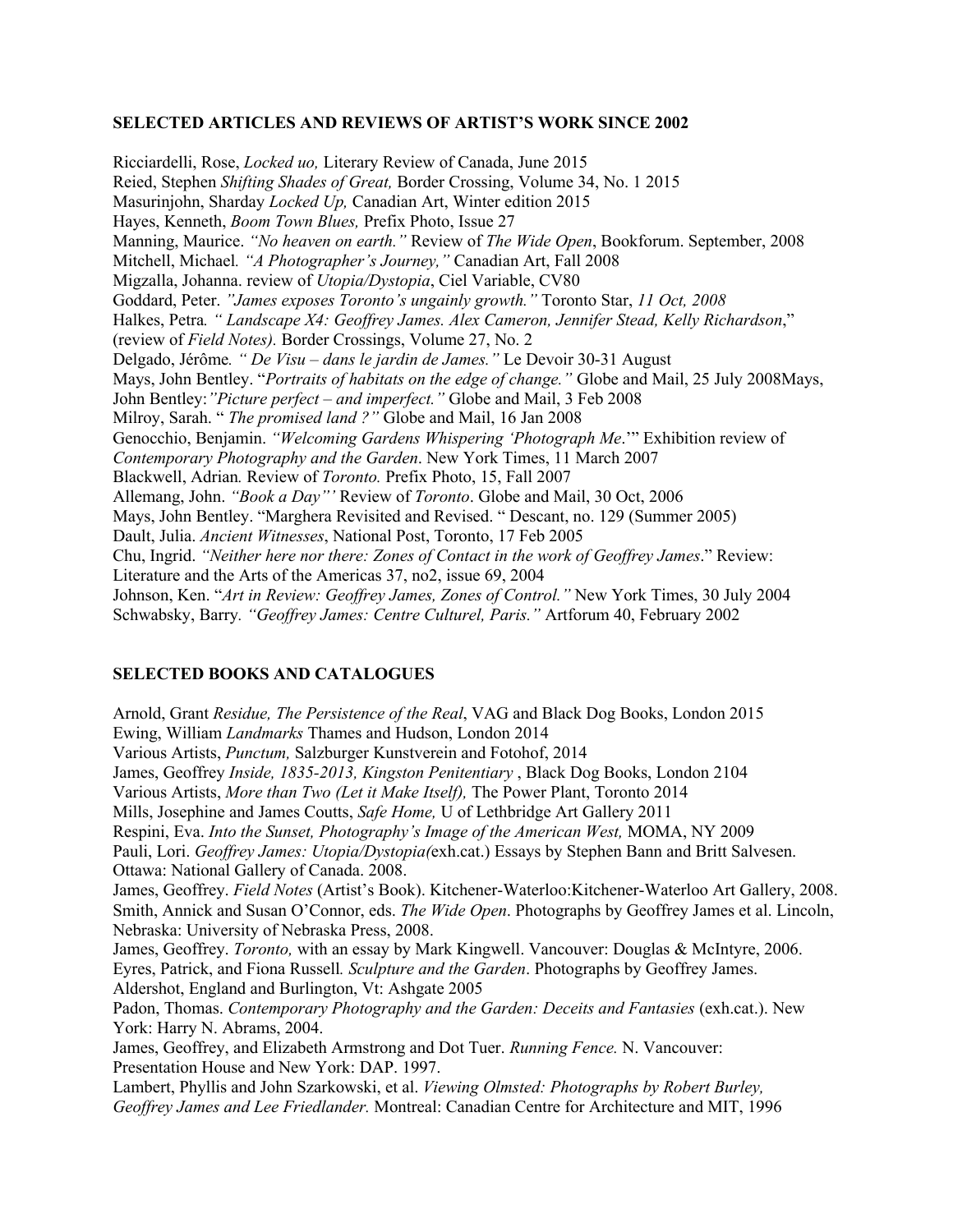#### **SELECTED ARTICLES AND REVIEWS OF ARTIST'S WORK SINCE 2002**

Ricciardelli, Rose, *Locked uo,* Literary Review of Canada, June 2015 Reied, Stephen *Shifting Shades of Great,* Border Crossing, Volume 34, No. 1 2015 Masurinjohn, Sharday *Locked Up,* Canadian Art, Winter edition 2015 Hayes, Kenneth, *Boom Town Blues,* Prefix Photo, Issue 27 Manning, Maurice. *"No heaven on earth."* Review of *The Wide Open*, Bookforum. September, 2008 Mitchell, Michael*. "A Photographer's Journey,"* Canadian Art, Fall 2008 Migzalla, Johanna. review of *Utopia/Dystopia*, Ciel Variable, CV80 Goddard, Peter. *"James exposes Toronto's ungainly growth."* Toronto Star, *11 Oct, 2008*  Halkes, Petra*. " Landscape X4: Geoffrey James. Alex Cameron, Jennifer Stead, Kelly Richardson*," (review of *Field Notes).* Border Crossings, Volume 27, No. 2 Delgado, Jérôme*. " De Visu – dans le jardin de James."* Le Devoir 30-31 August Mays, John Bentley. "*Portraits of habitats on the edge of change."* Globe and Mail, 25 July 2008Mays, John Bentley:*"Picture perfect – and imperfect."* Globe and Mail, 3 Feb 2008 Milroy, Sarah. " *The promised land ?"* Globe and Mail, 16 Jan 2008 Genocchio, Benjamin. *"Welcoming Gardens Whispering 'Photograph Me*.'" Exhibition review of *Contemporary Photography and the Garden*. New York Times, 11 March 2007 Blackwell, Adrian*.* Review of *Toronto.* Prefix Photo, 15, Fall 2007 Allemang, John. *"Book a Day"'* Review of *Toronto*. Globe and Mail, 30 Oct, 2006 Mays, John Bentley. "Marghera Revisited and Revised. " Descant, no. 129 (Summer 2005) Dault, Julia. *Ancient Witnesses*, National Post, Toronto, 17 Feb 2005 Chu, Ingrid. *"Neither here nor there: Zones of Contact in the work of Geoffrey James*." Review: Literature and the Arts of the Americas 37, no2, issue 69, 2004 Johnson, Ken. "*Art in Review: Geoffrey James, Zones of Control."* New York Times, 30 July 2004 Schwabsky, Barry*. "Geoffrey James: Centre Culturel, Paris."* Artforum 40, February 2002

#### **SELECTED BOOKS AND CATALOGUES**

Arnold, Grant *Residue, The Persistence of the Real*, VAG and Black Dog Books, London 2015 Ewing, William *Landmarks* Thames and Hudson, London 2014 Various Artists, *Punctum,* Salzburger Kunstverein and Fotohof, 2014 James, Geoffrey *Inside, 1835-2013, Kingston Penitentiary* , Black Dog Books, London 2104 Various Artists, *More than Two (Let it Make Itself),* The Power Plant, Toronto 2014 Mills, Josephine and James Coutts, *Safe Home,* U of Lethbridge Art Gallery 2011 Respini, Eva. *Into the Sunset, Photography's Image of the American West,* MOMA, NY 2009 Pauli, Lori. *Geoffrey James: Utopia/Dystopia(*exh.cat.) Essays by Stephen Bann and Britt Salvesen. Ottawa: National Gallery of Canada. 2008. James, Geoffrey. *Field Notes* (Artist's Book). Kitchener-Waterloo:Kitchener-Waterloo Art Gallery, 2008. Smith, Annick and Susan O'Connor, eds. *The Wide Open*. Photographs by Geoffrey James et al. Lincoln, Nebraska: University of Nebraska Press, 2008. James, Geoffrey. *Toronto,* with an essay by Mark Kingwell. Vancouver: Douglas & McIntyre, 2006. Eyres, Patrick, and Fiona Russell*. Sculpture and the Garden*. Photographs by Geoffrey James. Aldershot, England and Burlington, Vt: Ashgate 2005 Padon, Thomas. *Contemporary Photography and the Garden: Deceits and Fantasies* (exh.cat.). New York: Harry N. Abrams, 2004. James, Geoffrey, and Elizabeth Armstrong and Dot Tuer. *Running Fence.* N. Vancouver: Presentation House and New York: DAP. 1997. Lambert, Phyllis and John Szarkowski, et al. *Viewing Olmsted: Photographs by Robert Burley, Geoffrey James and Lee Friedlander.* Montreal: Canadian Centre for Architecture and MIT, 1996